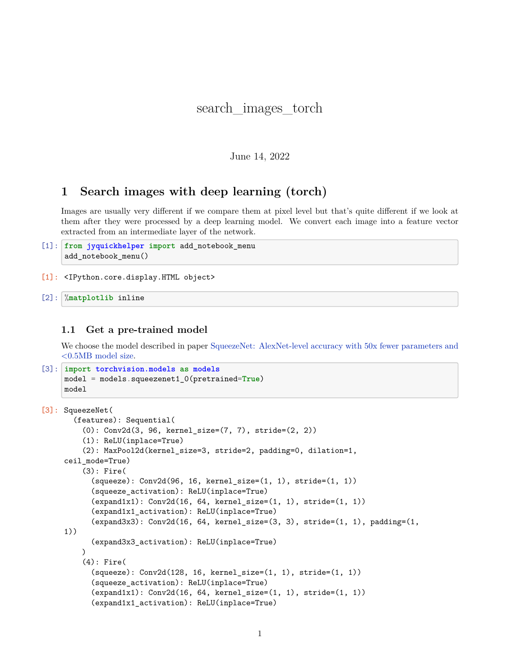# search images torch

### June 14, 2022

# **1 Search images with deep learning (torch)**

Images are usually very different if we compare them at pixel level but that's quite different if we look at them after they were processed by a deep learning model. We convert each image into a feature vector extracted from an intermediate layer of the network.

- [1]: **from jyquickhelper import** add\_notebook\_menu add\_notebook\_menu()
- [1]: <IPython.core.display.HTML object>
- [2]: %**matplotlib** inline

#### **1.1 Get a pre-trained model**

We choose the model described in paper [SqueezeNet: AlexNet-level accuracy with 50x fewer parameters and](https://arxiv.org/abs/1602.07360) [<0.5MB model size](https://arxiv.org/abs/1602.07360).

```
[3]: import torchvision.models as models
     model = models.squeezenet1_0(pretrained=True)
     model
```

```
[3]: SqueezeNet(
       (features): Sequential(
         (0): Conv2d(3, 96, kernel_size=(7, 7), stride=(2, 2))
         (1): ReLU(inplace=True)
         (2): MaxPool2d(kernel_size=3, stride=2, padding=0, dilation=1,
     ceil_mode=True)
         (3): Fire(
           (squeeze): Conv2d(96, 16, kernel_size=(1, 1), stride=(1, 1))
           (squeeze_activation): ReLU(inplace=True)
           (expand1x1): Conv2d(16, 64, kernel size=(1, 1), stride=(1, 1))(expand1x1_activation): ReLU(inplace=True)
           (expand3x3): Conv2d(16, 64, kernal_size=(3, 3), stride=(1, 1), padding=(1, 1))1))
           (expand3x3_activation): ReLU(inplace=True)
         )
         (4): Fire(
           (squeeze): Conv2d(128, 16, kernel_size=(1, 1), stride=(1, 1))
           (squeeze_activation): ReLU(inplace=True)
           (expand1x1): Conv2d(16, 64, kernel_size=(1, 1), stride=(1, 1))
           (expand1x1_activation): ReLU(inplace=True)
```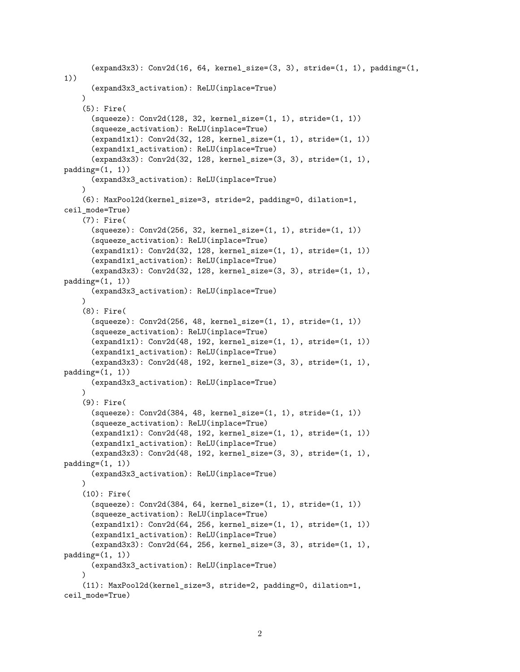```
(expand3x3): Conv2d(16, 64, kernal_size=(3, 3), stride=(1, 1), padding=(1, 1))1))
      (expand3x3_activation): ReLU(inplace=True)
    \lambda(5): Fire(
      (squeeze): Conv2d(128, 32, kernel_size=(1, 1), stride=(1, 1))
      (squeeze_activation): ReLU(inplace=True)
      (expand1x1): Conv2d(32, 128, kernel_size=(1, 1), stride=(1, 1))
      (expand1x1_activation): ReLU(inplace=True)
      (expand3x3): Conv2d(32, 128, kernel_size=(3, 3), stride=(1, 1),
padding=(1, 1))(expand3x3_activation): ReLU(inplace=True)
    \lambda(6): MaxPool2d(kernel_size=3, stride=2, padding=0, dilation=1,
ceil_mode=True)
    (7): Fire(
      (squeeze): Conv2d(256, 32, kernal size=(1, 1), stride=(1, 1))(squeeze_activation): ReLU(inplace=True)
      (expand1x1): Conv2d(32, 128, kernel_size=(1, 1), stride=(1, 1))
      (expand1x1_activation): ReLU(inplace=True)
      (expand3x3): Conv2d(32, 128, kernel_size=(3, 3), stride=(1, 1),
padding=(1, 1))(expand3x3_activation): ReLU(inplace=True)
    \lambda(8): Fire(
      (squeeze): Conv2d(256, 48, kernel_size=(1, 1), stride=(1, 1))
      (squeeze_activation): ReLU(inplace=True)
      (expand1x1): Conv2d(48, 192, kernel size=(1, 1), stride=(1, 1))(expand1x1_activation): ReLU(inplace=True)
      (expand3x3): Conv2d(48, 192, kernel_size=(3, 3), stride=(1, 1),
padding=(1, 1))(expand3x3_activation): ReLU(inplace=True)
    \lambda(9): Fire(
      (squeeze): Conv2d(384, 48, kernel_size=(1, 1), stride=(1, 1))
      (squeeze_activation): ReLU(inplace=True)
      (expand1x1): Conv2d(48, 192, kernel_size=(1, 1), stride=(1, 1))
      (expand1x1_activation): ReLU(inplace=True)
      (expand3x3): Conv2d(48, 192, kernel_size=(3, 3), stride=(1, 1),
padding=(1, 1))(expand3x3_activation): ReLU(inplace=True)
    \lambda(10): Fire(
      (squeeze): Conv2d(384, 64, kernel_size=(1, 1), stride=(1, 1))
      (squeeze_activation): ReLU(inplace=True)
      (expand1x1): Conv2d(64, 256, kernel_size=(1, 1), stride=(1, 1))
      (expand1x1_activation): ReLU(inplace=True)
      (expand3x3): Conv2d(64, 256, kernel_size=(3, 3), stride=(1, 1),
padding=(1, 1))(expand3x3_activation): ReLU(inplace=True)
    \lambda(11): MaxPool2d(kernel_size=3, stride=2, padding=0, dilation=1,
ceil_mode=True)
```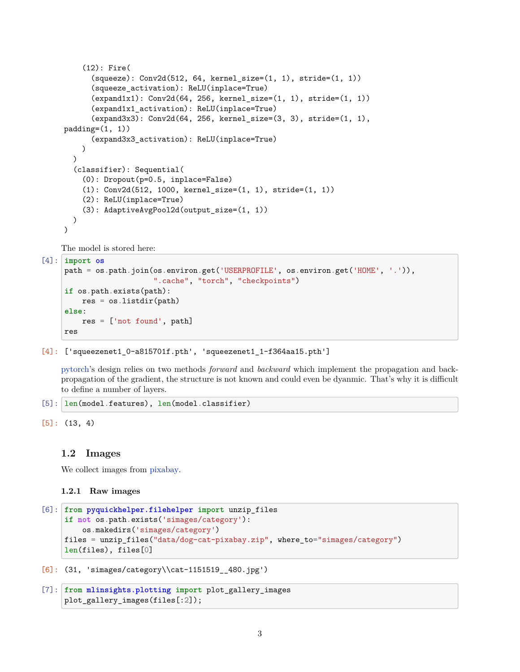```
(12): Fire(
      (squeeze): Conv2d(512, 64, kernel_size=(1, 1), stride=(1, 1))
      (squeeze_activation): ReLU(inplace=True)
      (expand1x1): Conv2d(64, 256, kernel_size=(1, 1), stride=(1, 1))
      (expand1x1_activation): ReLU(inplace=True)
      (expand3x3): Conv2d(64, 256, kernel_size=(3, 3), stride=(1, 1),
padding=(1, 1))
      (expand3x3_activation): ReLU(inplace=True)
    \lambda)
  (classifier): Sequential(
    (0): Dropout(p=0.5, inplace=False)
    (1): Conv2d(512, 1000, kernel_size=(1, 1), stride=(1, 1))
    (2): ReLU(inplace=True)
    (3): AdaptiveAvgPool2d(output_size=(1, 1))
  )
\lambda
```
The model is stored here:

```
[4]: import os
     path = os.path.join(os.environ.get('USERPROFILE', os.environ.get('HOME', '.')),
                         ".cache", "torch", "checkpoints")
     if os.path.exists(path):
         res = os.listdir(path)
     else:
         res = ['not found', path]
     res
```
### $[4]$ : ['squeezenet1 0-a815701f.pth', 'squeezenet1 1-f364aa15.pth']

[pytorch'](https://pytorch.org/)s design relies on two methods *forward* and *backward* which implement the propagation and backpropagation of the gradient, the structure is not known and could even be dyanmic. That's why it is difficult to define a number of layers.

```
[5]: len(model.features), len(model.classifier)
```

```
[5]: (13, 4)
```
### **1.2 Images**

We collect images from [pixabay](https://pixabay.com/).

### **1.2.1 Raw images**

```
[6]: from pyquickhelper.filehelper import unzip_files
     if not os.path.exists('simages/category'):
         os.makedirs('simages/category')
     files = unzip_files("data/dog-cat-pixabay.zip", where_to="simages/category")
     len(files), files[0]
```
[6]: (31, 'simages/category\\cat-1151519\_\_480.jpg')

```
[7]: from mlinsights.plotting import plot_gallery_images
     plot_gallery_images(files[:2]);
```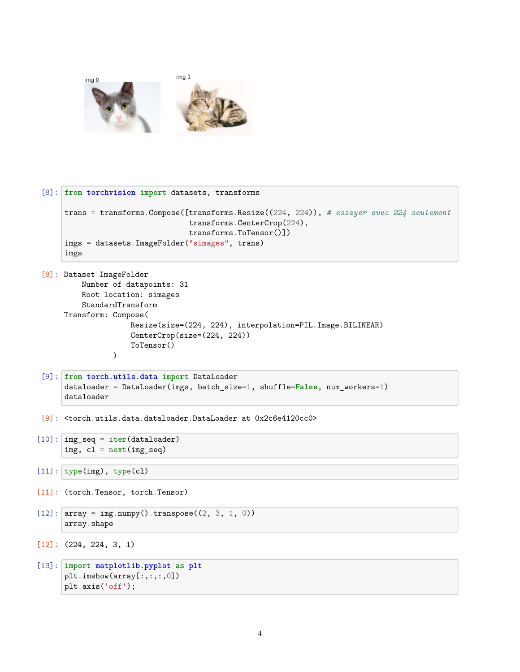

```
[8]: from torchvision import datasets, transforms
     trans = transforms.Compose([transforms.Resize((224, 224)), # essayer avec 224 seulement
                                 transforms.CenterCrop(224),
                                 transforms.ToTensor()])
     imgs = datasets.ImageFolder("simages", trans)
     imgs
```

```
[8]: Dataset ImageFolder
         Number of datapoints: 31
         Root location: simages
         StandardTransform
     Transform: Compose(
                     Resize(size=(224, 224), interpolation=PIL.Image.BILINEAR)
                     CenterCrop(size=(224, 224))
                     ToTensor()
                 \mathcal{L}
```

```
[9]: from torch.utils.data import DataLoader
     dataloader = DataLoader(imgs, batch_size=1, shuffle=False, num_workers=1)
     dataloader
```
[9]: <torch.utils.data.dataloader.DataLoader at 0x2c6e4120cc0>

```
[10]: img_seq = iter(dataloader)
      img, cl = next(img\_seq)
```

```
[11]: type(img), type(cl)
```

```
[11]: (torch.Tensor, torch.Tensor)
```

```
[12]: \arctan x = \text{img.numpy}() . \text{transpose}((2, 3, 1, 0))array.shape
```

```
[12]: (224, 224, 3, 1)
```

```
[13]: import matplotlib.pyplot as plt
      plt.imshow(array[:,:,:,0])
      plt.axis('off');
```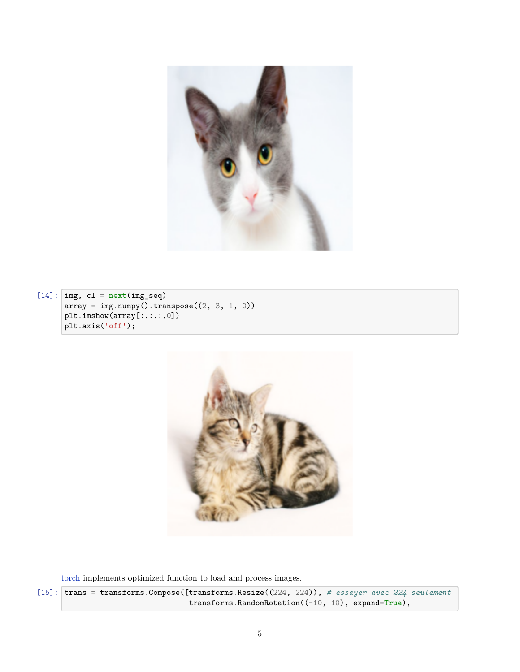

 $[14]: \overline{\text{img, cl}} = \text{next}(\text{img\_seq})$  $array = img.numpy().transpose((2, 3, 1, 0))$ plt.imshow(array[:,:,:,0]) plt.axis('off');



[torch](https://pytorch.org/) implements optimized function to load and process images.

[15]: trans = transforms.Compose([transforms.Resize((224, 224)), *# essayer avec 224 seulement* transforms.RandomRotation((-10, 10), expand=**True**),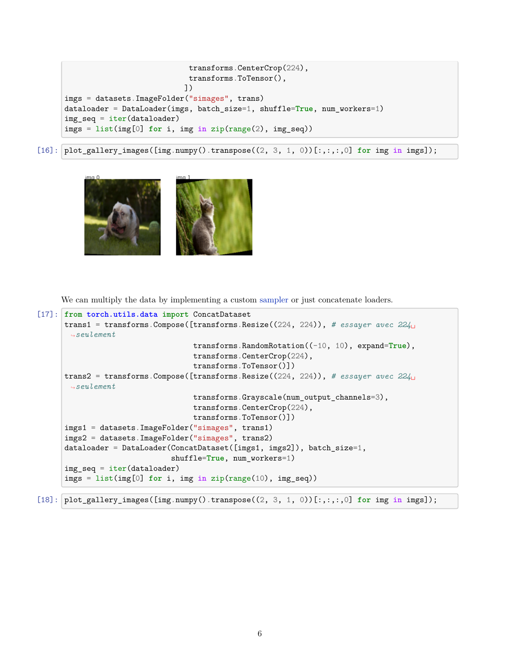```
transforms.CenterCrop(224),
                            transforms.ToTensor(),
                           ])
imgs = datasets.ImageFolder("simages", trans)
dataloader = DataLoader(imgs, batch_size=1, shuffle=True, num_workers=1)
img\_seq = iter(dataloader)imgs = list(img[0] for i, img in zip(range(2), img_seq))
```
[16]: plot\_gallery\_images([img.numpy().transpose((2, 3, 1, 0))[:,:,:,0] **for** img **in** imgs]);



We can multiply the data by implementing a custom [sampler](https://github.com/keras-team/keras/issues/7359) or just concatenate loaders.

```
[17]: from torch.utils.data import ConcatDataset
      trans1 = transforms.Compose([transforms.Resize((224, 224)), # essayer avec 224_{11}↪seulement
                                   transforms.RandomRotation((-10, 10), expand=True),
                                   transforms.CenterCrop(224),
                                   transforms.ToTensor()])
      trans2 = transforms.Compose([transforms.Resize((224, 224)), # essayer avec 224␣
       ↪seulement
                                   transforms.Grayscale(num_output_channels=3),
                                   transforms.CenterCrop(224),
                                   transforms.ToTensor()])
      imgs1 = datasets.ImageFolder("simages", trans1)
      imgs2 = datasets.ImageFolder("simages", trans2)
      dataloader = DataLoader(ConcatDataset([imgs1, imgs2]), batch_size=1,
                              shuffle=True, num_workers=1)
      img seq = iter(dataloader)imgs = list(img[0] for i, img in zip(range(10), img_seq))
```
[18]: plot\_gallery\_images([img.numpy().transpose((2, 3, 1, 0))[:,:,:,0] **for** img **in** imgs]);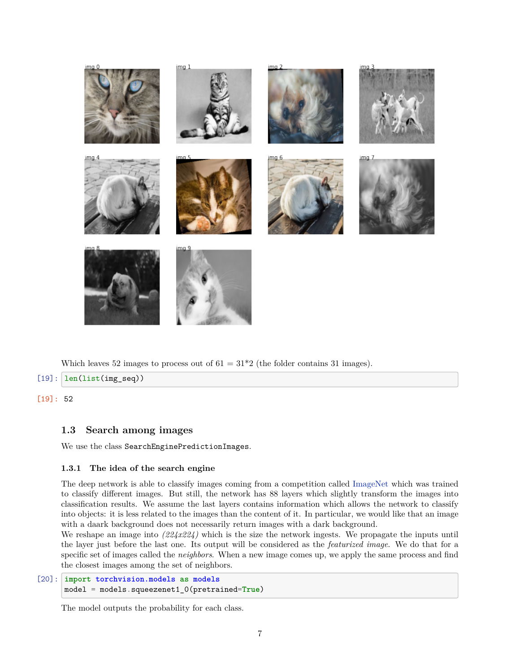

Which leaves 52 images to process out of  $61 = 31*2$  (the folder contains 31 images).

 $[19]$ :  $len(list(img\_seq))$ 

#### [19]: 52

## **1.3 Search among images**

We use the class SearchEnginePredictionImages.

#### **1.3.1 The idea of the search engine**

The deep network is able to classify images coming from a competition called [ImageNet](http://image-net.org/) which was trained to classify different images. But still, the network has 88 layers which slightly transform the images into classification results. We assume the last layers contains information which allows the network to classify into objects: it is less related to the images than the content of it. In particular, we would like that an image with a daark background does not necessarily return images with a dark background.

We reshape an image into *(224x224)* which is the size the network ingests. We propagate the inputs until the layer just before the last one. Its output will be considered as the *featurized image*. We do that for a specific set of images called the *neighbors*. When a new image comes up, we apply the same process and find the closest images among the set of neighbors.

```
[20]: import torchvision.models as models
      model = models.squeezenet1_0(pretrained=True)
```
The model outputs the probability for each class.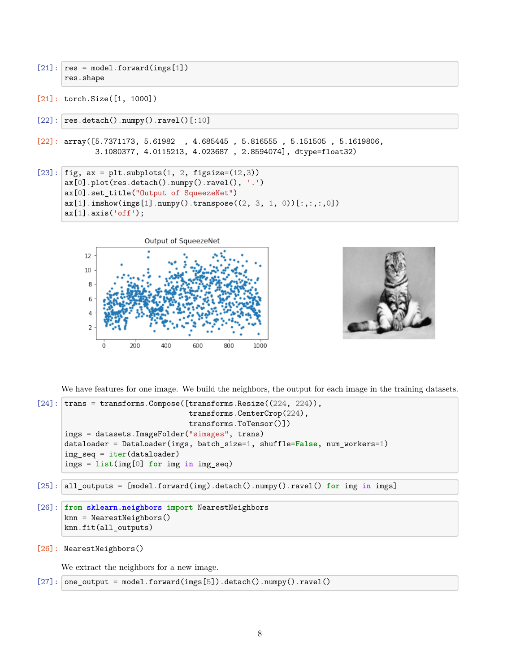- $[21]:$   $res = model.format(ings[1])$ res.shape
- [21]: torch.Size([1, 1000])
- $[22]$ :  $res.detach() . \text{numpy() . } \text{ravel()}[:10]$
- $[22]$ : array( $[5.7371173, 5.61982, 4.685445, 5.816555, 5.151505, 5.1619806,$ 3.1080377, 4.0115213, 4.023687 , 2.8594074], dtype=float32)

```
[23]: fig, ax = plt.subplots(1, 2, figsize=(12,3))
      ax[0].plot(res.detach() .numpy().ravel(), '.')ax<sup>[0]</sup>.set title("Output of SqueezeNet")
      ax[1].imshow(ings[1].numpy().transpose((2, 3, 1, 0))[:, :, :, 0])ax[1].axis('off');
```




We have features for one image. We build the neighbors, the output for each image in the training datasets.

```
[24]: trans = transforms.Compose([transforms. Resize((224, 224)),transforms.CenterCrop(224),
                                  transforms.ToTensor()])
      imgs = datasets.ImageFolder("simages", trans)
      dataloader = DataLoader(imgs, batch_size=1, shuffle=False, num_workers=1)
      img\_seq = iter(dataloader)imgs = list(img[0] for img in img_seq)
```
[25]: all\_outputs = [model.forward(img).detach().numpy().ravel() **for** img **in** imgs]

```
[26]: from sklearn.neighbors import NearestNeighbors
      knn = NearestNeighbors()
      knn.fit(all_outputs)
```

```
[26]: NearestNeighbors()
```
We extract the neighbors for a new image.

```
[27]: one_output = model.forward(imgs[5]).detach().numpy().ravel()
```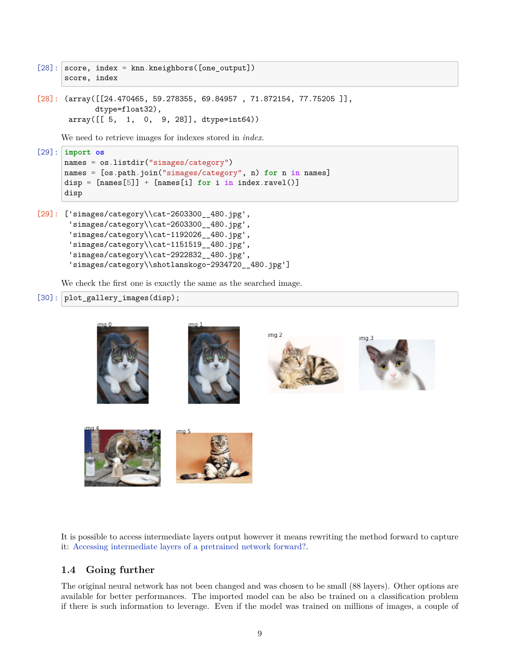```
[28]: score, index = knn.kneighbors([one_output])
      score, index
```

```
[28]: (array([[24.470465, 59.278355, 69.84957, 71.872154, 77.75205]],
            dtype=float32),
      array([[ 5, 1, 0, 9, 28]], dtype=int64))
```
We need to retrieve images for indexes stored in *index*.

```
[29]: import os
      names = os.listdir("simages/category")
      names = [os.path.join("simages/category", n) for n in names]
      disp = [names[5]] + [names[i] for i in index.ravel()]
      disp
```

```
[29]: ['simages/category\\cat-2603300__480.jpg',
       'simages/category\\cat-2603300__480.jpg',
       'simages/category\\cat-1192026__480.jpg',
       'simages/category\\cat-1151519__480.jpg',
       'simages/category\\cat-2922832__480.jpg',
       'simages/category\\shotlanskogo-2934720__480.jpg']
```
We check the first one is exactly the same as the searched image.

```
[30]: plot_gallery_images(disp);
```


It is possible to access intermediate layers output however it means rewriting the method forward to capture it: [Accessing intermediate layers of a pretrained network forward?](https://discuss.pytorch.org/t/accessing-intermediate-layers-of-a-pretrained-network-forward/12113/2).

# **1.4 Going further**

The original neural network has not been changed and was chosen to be small (88 layers). Other options are available for better performances. The imported model can be also be trained on a classification problem if there is such information to leverage. Even if the model was trained on millions of images, a couple of